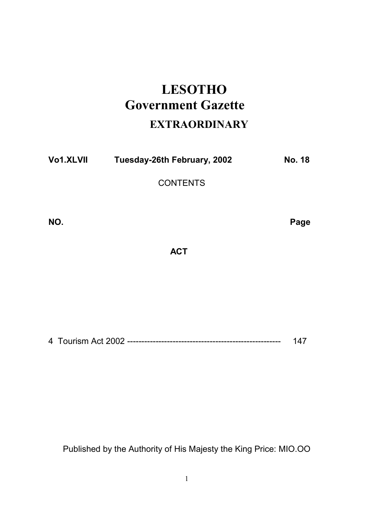# **LESOTHO** Government Gazette

# **EXTRAORDINARY**

| Vo1.XLVII | Tuesday-26th February, 2002 | <b>No. 18</b> |
|-----------|-----------------------------|---------------|
|-----------|-----------------------------|---------------|

**CONTENTS** 

NO. Page 2014 and 2014 and 2014 and 2014 and 2014 and 2014 and 2014 and 2014 and 2014 and 2014 and 2014 and 20

**ACT** 

4 Tourism Act 2002 ------------------------------------------------------ 147

Published by the Authority of His Majesty the King Price: MIO.OO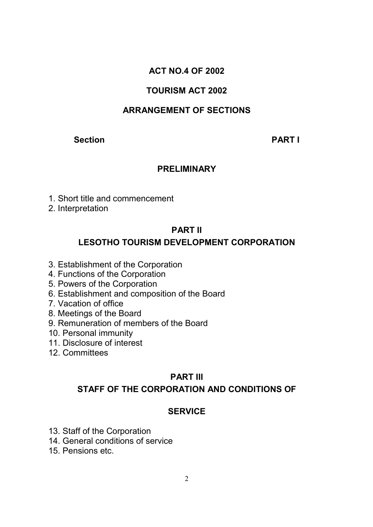# ACT NO.4 OF 2002

# TOURISM ACT 2002

# ARRANGEMENT OF SECTIONS

#### Section **PART I**

#### PRELIMINARY

- 1. Short title and commencement
- 2. Interpretation

#### PART II

# LESOTHO TOURISM DEVELOPMENT CORPORATION

- 3. Establishment of the Corporation
- 4. Functions of the Corporation
- 5. Powers of the Corporation
- 6. Establishment and composition of the Board
- 7. Vacation of office
- 8. Meetings of the Board
- 9. Remuneration of members of the Board
- 10. Personal immunity
- 11. Disclosure of interest
- 12. Committees

### PART III

### STAFF OF THE CORPORATION AND CONDITIONS OF

### **SERVICE**

- 13. Staff of the Corporation
- 14. General conditions of service
- 15. Pensions etc.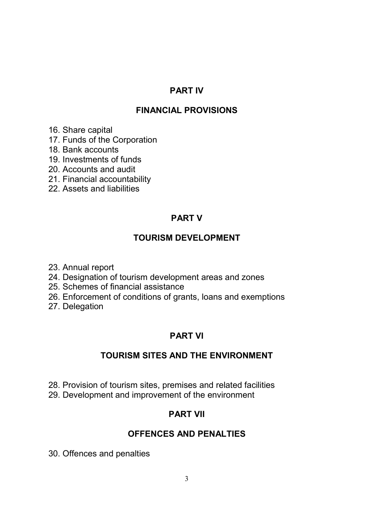#### PART IV

### FINANCIAL PROVISIONS

- 16. Share capital
- 17. Funds of the Corporation
- 18. Bank accounts
- 19. Investments of funds
- 20. Accounts and audit
- 21. Financial accountability
- 22. Assets and liabilities

# PART V

# TOURISM DEVELOPMENT

- 23. Annual report
- 24. Designation of tourism development areas and zones
- 25. Schemes of financial assistance
- 26. Enforcement of conditions of grants, loans and exemptions
- 27. Delegation

# PART VI

# TOURISM SITES AND THE ENVIRONMENT

28. Provision of tourism sites, premises and related facilities 29. Development and improvement of the environment

# PART VII

### OFFENCES AND PENALTIES

30. Offences and penalties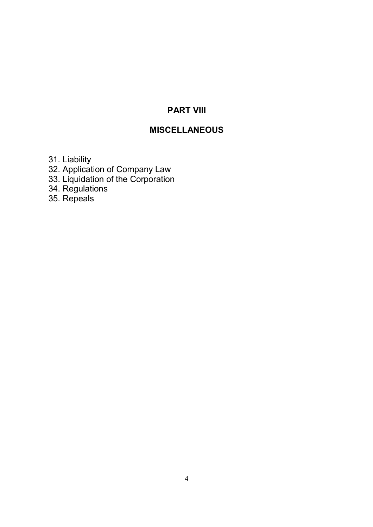# PART VIII

# MISCELLANEOUS

31. Liability

32. Application of Company Law

33. Liquidation of the Corporation

34. Regulations

35. Repeals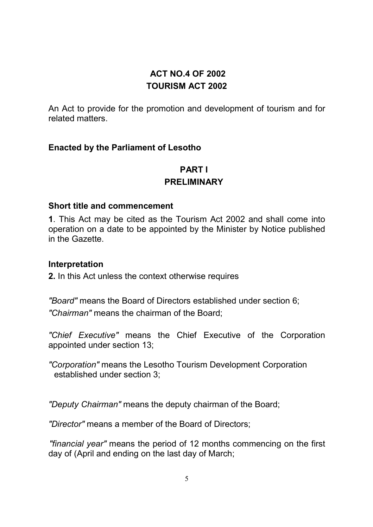# ACT NO.4 OF 2002 TOURISM ACT 2002

An Act to provide for the promotion and development of tourism and for related matters.

#### Enacted by the Parliament of Lesotho

# PART I

#### PRELIMINARY

#### Short title and commencement

1. This Act may be cited as the Tourism Act 2002 and shall come into operation on a date to be appointed by the Minister by Notice published in the Gazette.

#### Interpretation

2. In this Act unless the context otherwise requires

"Board" means the Board of Directors established under section 6; "Chairman" means the chairman of the Board;

"Chief Executive" means the Chief Executive of the Corporation appointed under section 13;

"Corporation" means the Lesotho Tourism Development Corporation established under section 3;

"Deputy Chairman" means the deputy chairman of the Board;

"Director" means a member of the Board of Directors;

"financial year" means the period of 12 months commencing on the first day of (April and ending on the last day of March;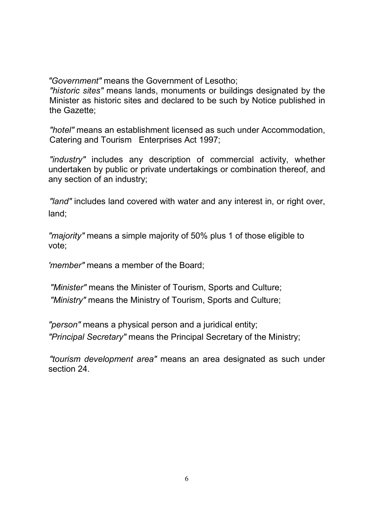"Government" means the Government of Lesotho;

"historic sites" means lands, monuments or buildings designated by the Minister as historic sites and declared to be such by Notice published in the Gazette;

"hotel" means an establishment licensed as such under Accommodation, Catering and Tourism Enterprises Act 1997;

"industry" includes any description of commercial activity, whether undertaken by public or private undertakings or combination thereof, and any section of an industry;

"land" includes land covered with water and any interest in, or right over, land;

"majority" means a simple majority of 50% plus 1 of those eligible to vote;

'member" means a member of the Board;

"Minister" means the Minister of Tourism, Sports and Culture; "Ministry" means the Ministry of Tourism, Sports and Culture;

"person" means a physical person and a juridical entity; "Principal Secretary" means the Principal Secretary of the Ministry;

"tourism development area" means an area designated as such under section 24.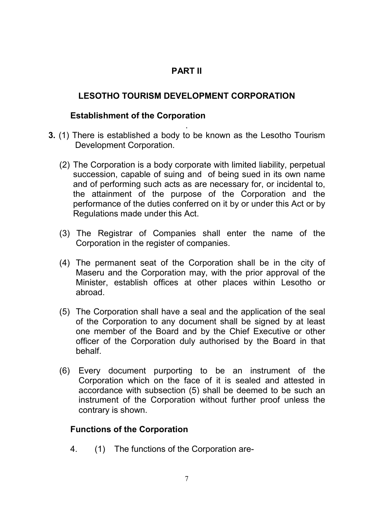# PART II

## LESOTHO TOURISM DEVELOPMENT CORPORATION

#### Establishment of the Corporation

- . 3. (1) There is established a body to be known as the Lesotho Tourism Development Corporation.
	- (2) The Corporation is a body corporate with limited liability, perpetual succession, capable of suing and of being sued in its own name and of performing such acts as are necessary for, or incidental to, the attainment of the purpose of the Corporation and the performance of the duties conferred on it by or under this Act or by Regulations made under this Act.
	- (3) The Registrar of Companies shall enter the name of the Corporation in the register of companies.
	- (4) The permanent seat of the Corporation shall be in the city of Maseru and the Corporation may, with the prior approval of the Minister, establish offices at other places within Lesotho or abroad.
	- (5) The Corporation shall have a seal and the application of the seal of the Corporation to any document shall be signed by at least one member of the Board and by the Chief Executive or other officer of the Corporation duly authorised by the Board in that behalf.
	- (6) Every document purporting to be an instrument of the Corporation which on the face of it is sealed and attested in accordance with subsection (5) shall be deemed to be such an instrument of the Corporation without further proof unless the contrary is shown.

### Functions of the Corporation

4. (1) The functions of the Corporation are-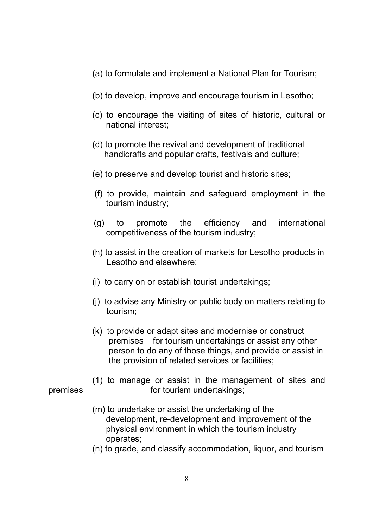- (a) to formulate and implement a National Plan for Tourism;
- (b) to develop, improve and encourage tourism in Lesotho;
- (c) to encourage the visiting of sites of historic, cultural or national interest;
- (d) to promote the revival and development of traditional handicrafts and popular crafts, festivals and culture;
- (e) to preserve and develop tourist and historic sites;
- (f) to provide, maintain and safeguard employment in the tourism industry;
- (g) to promote the efficiency and international competitiveness of the tourism industry;
- (h) to assist in the creation of markets for Lesotho products in Lesotho and elsewhere;
- (i) to carry on or establish tourist undertakings;
- (j) to advise any Ministry or public body on matters relating to tourism;
- (k) to provide or adapt sites and modernise or construct premises for tourism undertakings or assist any other person to do any of those things, and provide or assist in the provision of related services or facilities;
- (1) to manage or assist in the management of sites and premises for tourism undertakings;
	- (m) to undertake or assist the undertaking of the development, re-development and improvement of the physical environment in which the tourism industry operates;
	- (n) to grade, and classify accommodation, liquor, and tourism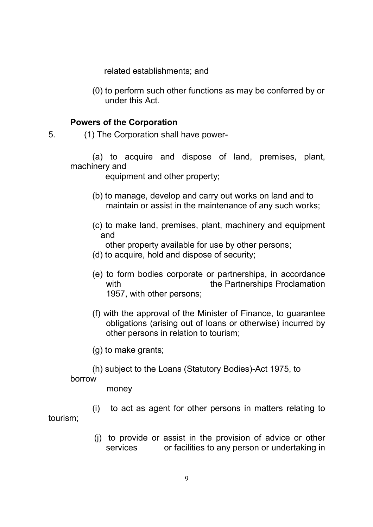related establishments; and

(0) to perform such other functions as may be conferred by or under this Act.

#### Powers of the Corporation

5. (1) The Corporation shall have power-

 (a) to acquire and dispose of land, premises, plant, machinery and

equipment and other property;

- (b) to manage, develop and carry out works on land and to maintain or assist in the maintenance of any such works;
- (c) to make land, premises, plant, machinery and equipment and

other property available for use by other persons;

- (d) to acquire, hold and dispose of security;
- (e) to form bodies corporate or partnerships, in accordance with the Partnerships Proclamation 1957, with other persons;
- (f) with the approval of the Minister of Finance, to guarantee obligations (arising out of loans or otherwise) incurred by other persons in relation to tourism;
- (g) to make grants;
- (h) subject to the Loans (Statutory Bodies)-Act 1975, to

#### borrow

money

 (i) to act as agent for other persons in matters relating to tourism;

> (j) to provide or assist in the provision of advice or other services or facilities to any person or undertaking in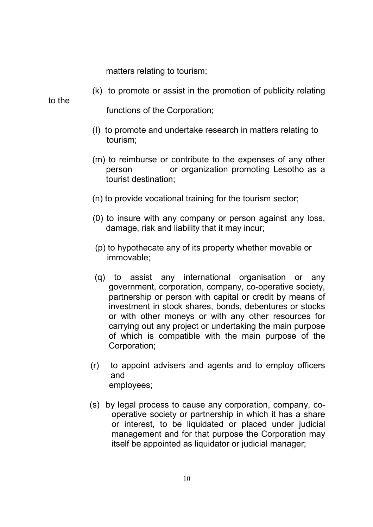matters relating to tourism;

(k) to promote or assist in the promotion of publicity relating

to the

functions of the Corporation;

- (I) to promote and undertake research in matters relating to tourism;
- (m) to reimburse or contribute to the expenses of any other person or organization promoting Lesotho as a tourist destination;
- (n) to provide vocational training for the tourism sector;
- (0) to insure with any company or person against any loss, damage, risk and liability that it may incur;
- (p) to hypothecate any of its property whether movable or immovable;
- (q) to assist any international organisation or any government, corporation, company, co-operative society, partnership or person with capital or credit by means of investment in stock shares, bonds, debentures or stocks or with other moneys or with any other resources for carrying out any project or undertaking the main purpose of which is compatible with the main purpose of the Corporation;
- (r) to appoint advisers and agents and to employ officers and employees;
- (s) by legal process to cause any corporation, company, cooperative society or partnership in which it has a share or interest, to be liquidated or placed under judicial management and for that purpose the Corporation may itself be appointed as liquidator or judicial manager;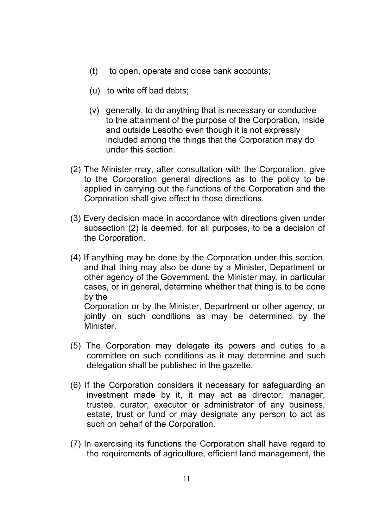- (t) to open, operate and close bank accounts;
- (u) to write off bad debts;
- (v) generally, to do anything that is necessary or conducive to the attainment of the purpose of the Corporation, inside and outside Lesotho even though it is not expressly included among the things that the Corporation may do under this section.
- (2) The Minister may, after consultation with the Corporation, give to the Corporation general directions as to the policy to be applied in carrying out the functions of the Corporation and the Corporation shall give effect to those directions.
- (3) Every decision made in accordance with directions given under subsection (2) is deemed, for all purposes, to be a decision of the Corporation.
- (4) If anything may be done by the Corporation under this section, and that thing may also be done by a Minister, Department or other agency of the Government, the Minister may, in particular cases, or in general, determine whether that thing is to be done by the Corporation or by the Minister, Department or other agency, or

jointly on such conditions as may be determined by the **Minister** 

- (5) The Corporation may delegate its powers and duties to a committee on such conditions as it may determine and such delegation shall be published in the gazette.
- (6) If the Corporation considers it necessary for safeguarding an investment made by it, it may act as director, manager, trustee, curator, executor or administrator of any business, estate, trust or fund or may designate any person to act as such on behalf of the Corporation.
- (7) In exercising its functions the Corporation shall have regard to the requirements of agriculture, efficient land management, the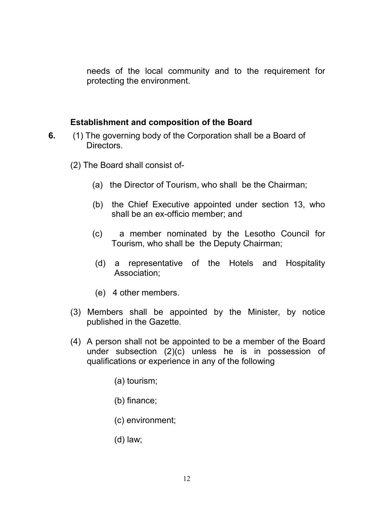needs of the local community and to the requirement for protecting the environment.

#### Establishment and composition of the Board

- 6. (1) The governing body of the Corporation shall be a Board of **Directors** 
	- (2) The Board shall consist of-
		- (a) the Director of Tourism, who shall be the Chairman;
		- (b) the Chief Executive appointed under section 13, who shall be an ex-officio member; and
		- (c) a member nominated by the Lesotho Council for Tourism, who shall be the Deputy Chairman;
		- (d) a representative of the Hotels and Hospitality Association;
		- (e) 4 other members.
	- (3) Members shall be appointed by the Minister, by notice published in the Gazette.
	- (4) A person shall not be appointed to be a member of the Board under subsection (2)(c) unless he is in possession of qualifications or experience in any of the following
		- (a) tourism;
		- (b) finance;
		- (c) environment;
		- (d) law;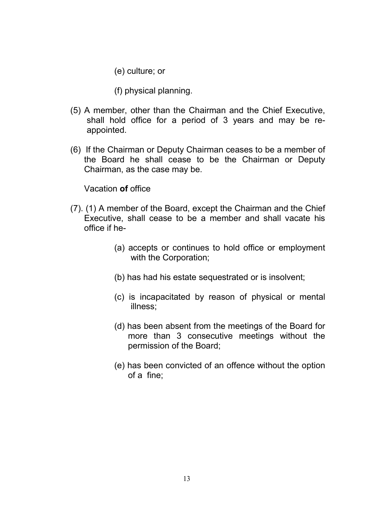(e) culture; or

(f) physical planning.

- (5) A member, other than the Chairman and the Chief Executive, shall hold office for a period of 3 years and may be reappointed.
- (6) If the Chairman or Deputy Chairman ceases to be a member of the Board he shall cease to be the Chairman or Deputy Chairman, as the case may be.

Vacation of office

- (7). (1) A member of the Board, except the Chairman and the Chief Executive, shall cease to be a member and shall vacate his office if he-
	- (a) accepts or continues to hold office or employment with the Corporation;
	- (b) has had his estate sequestrated or is insolvent;
	- (c) is incapacitated by reason of physical or mental illness;
	- (d) has been absent from the meetings of the Board for more than 3 consecutive meetings without the permission of the Board;
	- (e) has been convicted of an offence without the option of a fine;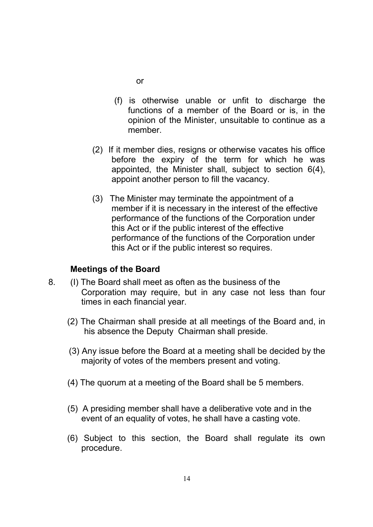- or
- (f) is otherwise unable or unfit to discharge the functions of a member of the Board or is, in the opinion of the Minister, unsuitable to continue as a member.
- (2) If it member dies, resigns or otherwise vacates his office before the expiry of the term for which he was appointed, the Minister shall, subject to section 6(4), appoint another person to fill the vacancy.
- (3) The Minister may terminate the appointment of a member if it is necessary in the interest of the effective performance of the functions of the Corporation under this Act or if the public interest of the effective performance of the functions of the Corporation under this Act or if the public interest so requires.

#### Meetings of the Board

- 8. (I) The Board shall meet as often as the business of the Corporation may require, but in any case not less than four times in each financial year.
	- (2) The Chairman shall preside at all meetings of the Board and, in his absence the Deputy Chairman shall preside.
	- (3) Any issue before the Board at a meeting shall be decided by the majority of votes of the members present and voting.
	- (4) The quorum at a meeting of the Board shall be 5 members.
	- (5) A presiding member shall have a deliberative vote and in the event of an equality of votes, he shall have a casting vote.
	- (6) Subject to this section, the Board shall regulate its own procedure.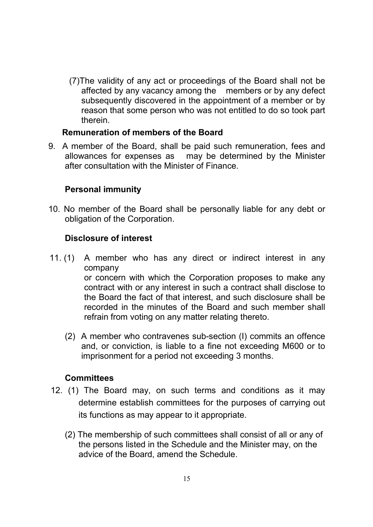(7)The validity of any act or proceedings of the Board shall not be affected by any vacancy among the members or by any defect subsequently discovered in the appointment of a member or by reason that some person who was not entitled to do so took part therein.

#### Remuneration of members of the Board

9. A member of the Board, shall be paid such remuneration, fees and allowances for expenses as may be determined by the Minister after consultation with the Minister of Finance.

#### Personal immunity

10. No member of the Board shall be personally liable for any debt or obligation of the Corporation.

#### Disclosure of interest

- 11. (1) A member who has any direct or indirect interest in any company or concern with which the Corporation proposes to make any contract with or any interest in such a contract shall disclose to the Board the fact of that interest, and such disclosure shall be recorded in the minutes of the Board and such member shall refrain from voting on any matter relating thereto.
	- (2) A member who contravenes sub-section (I) commits an offence and, or conviction, is liable to a fine not exceeding M600 or to imprisonment for a period not exceeding 3 months.

#### **Committees**

- 12. (1) The Board may, on such terms and conditions as it may determine establish committees for the purposes of carrying out its functions as may appear to it appropriate.
	- (2) The membership of such committees shall consist of all or any of the persons listed in the Schedule and the Minister may, on the advice of the Board, amend the Schedule.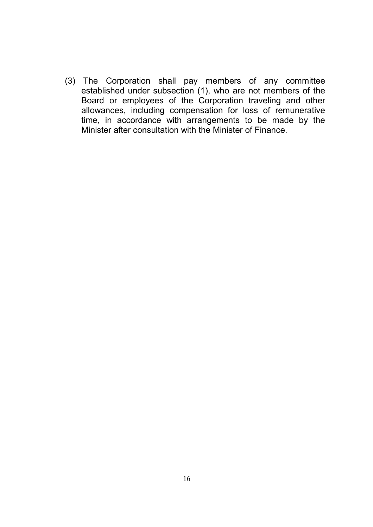(3) The Corporation shall pay members of any committee established under subsection (1), who are not members of the Board or employees of the Corporation traveling and other allowances, including compensation for loss of remunerative time, in accordance with arrangements to be made by the Minister after consultation with the Minister of Finance.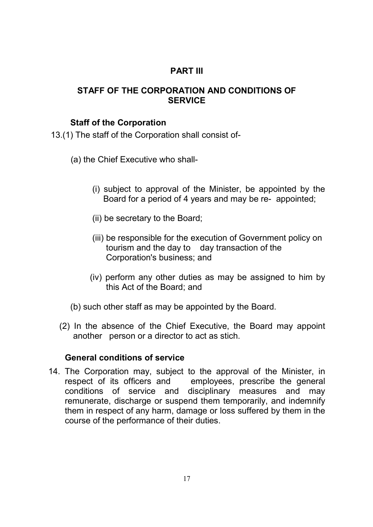# PART III

#### STAFF OF THE CORPORATION AND CONDITIONS OF **SERVICE**

#### Staff of the Corporation

13.(1) The staff of the Corporation shall consist of-

- (a) the Chief Executive who shall-
	- (i) subject to approval of the Minister, be appointed by the Board for a period of 4 years and may be re- appointed;
	- (ii) be secretary to the Board;
	- (iii) be responsible for the execution of Government policy on tourism and the day to day transaction of the Corporation's business; and
	- (iv) perform any other duties as may be assigned to him by this Act of the Board; and
- (b) such other staff as may be appointed by the Board.
- (2) In the absence of the Chief Executive, the Board may appoint another person or a director to act as stich.

#### General conditions of service

14. The Corporation may, subject to the approval of the Minister, in respect of its officers and employees, prescribe the general conditions of service and disciplinary measures and may remunerate, discharge or suspend them temporarily, and indemnify them in respect of any harm, damage or loss suffered by them in the course of the performance of their duties.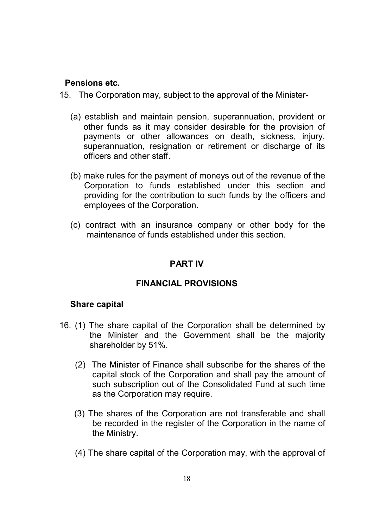#### Pensions etc.

- 15. The Corporation may, subject to the approval of the Minister-
	- (a) establish and maintain pension, superannuation, provident or other funds as it may consider desirable for the provision of payments or other allowances on death, sickness, injury, superannuation, resignation or retirement or discharge of its officers and other staff.
	- (b) make rules for the payment of moneys out of the revenue of the Corporation to funds established under this section and providing for the contribution to such funds by the officers and employees of the Corporation.
	- (c) contract with an insurance company or other body for the maintenance of funds established under this section.

### PART IV

### FINANCIAL PROVISIONS

#### Share capital

- 16. (1) The share capital of the Corporation shall be determined by the Minister and the Government shall be the majority shareholder by 51%.
	- (2) The Minister of Finance shall subscribe for the shares of the capital stock of the Corporation and shall pay the amount of such subscription out of the Consolidated Fund at such time as the Corporation may require.
	- (3) The shares of the Corporation are not transferable and shall be recorded in the register of the Corporation in the name of the Ministry.
	- (4) The share capital of the Corporation may, with the approval of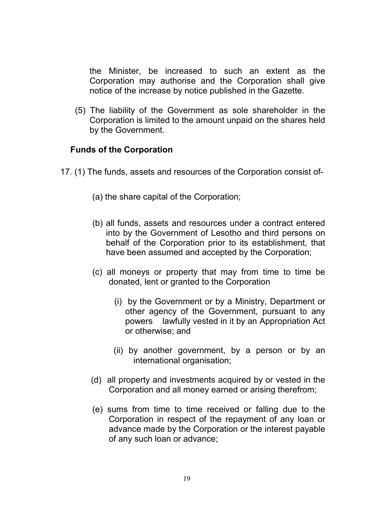the Minister, be increased to such an extent as the Corporation may authorise and the Corporation shall give notice of the increase by notice published in the Gazette.

 (5) The liability of the Government as sole shareholder in the Corporation is limited to the amount unpaid on the shares held by the Government.

#### Funds of the Corporation

- 17. (1) The funds, assets and resources of the Corporation consist of-
	- (a) the share capital of the Corporation;
	- (b) all funds, assets and resources under a contract entered into by the Government of Lesotho and third persons on behalf of the Corporation prior to its establishment, that have been assumed and accepted by the Corporation;
	- (c) all moneys or property that may from time to time be donated, lent or granted to the Corporation
		- (i) by the Government or by a Ministry, Department or other agency of the Government, pursuant to any powers lawfully vested in it by an Appropriation Act or otherwise; and
		- (ii) by another government, by a person or by an international organisation;
	- (d) all property and investments acquired by or vested in the Corporation and all money earned or arising therefrom;
	- (e) sums from time to time received or falling due to the Corporation in respect of the repayment of any loan or advance made by the Corporation or the interest payable of any such loan or advance;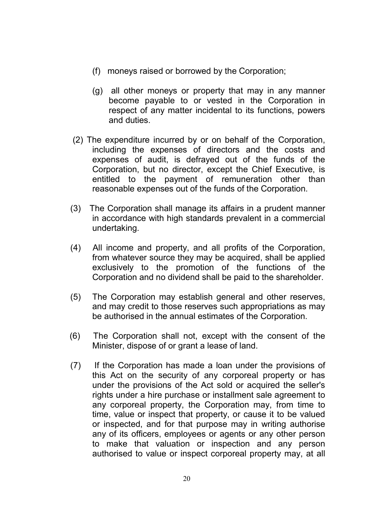- (f) moneys raised or borrowed by the Corporation;
- (g) all other moneys or property that may in any manner become payable to or vested in the Corporation in respect of any matter incidental to its functions, powers and duties.
- (2) The expenditure incurred by or on behalf of the Corporation, including the expenses of directors and the costs and expenses of audit, is defrayed out of the funds of the Corporation, but no director, except the Chief Executive, is entitled to the payment of remuneration other than reasonable expenses out of the funds of the Corporation.
- (3) The Corporation shall manage its affairs in a prudent manner in accordance with high standards prevalent in a commercial undertaking.
- (4) All income and property, and all profits of the Corporation, from whatever source they may be acquired, shall be applied exclusively to the promotion of the functions of the Corporation and no dividend shall be paid to the shareholder.
- (5) The Corporation may establish general and other reserves, and may credit to those reserves such appropriations as may be authorised in the annual estimates of the Corporation.
- (6) The Corporation shall not, except with the consent of the Minister, dispose of or grant a lease of land.
- (7) If the Corporation has made a loan under the provisions of this Act on the security of any corporeal property or has under the provisions of the Act sold or acquired the seller's rights under a hire purchase or installment sale agreement to any corporeal property, the Corporation may, from time to time, value or inspect that property, or cause it to be valued or inspected, and for that purpose may in writing authorise any of its officers, employees or agents or any other person to make that valuation or inspection and any person authorised to value or inspect corporeal property may, at all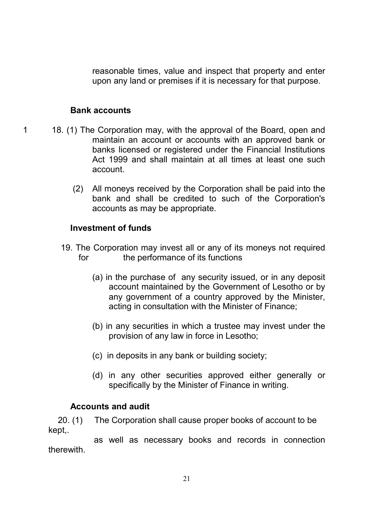reasonable times, value and inspect that property and enter upon any land or premises if it is necessary for that purpose.

#### Bank accounts

- 1 18. (1) The Corporation may, with the approval of the Board, open and maintain an account or accounts with an approved bank or banks licensed or registered under the Financial Institutions Act 1999 and shall maintain at all times at least one such account.
	- (2) All moneys received by the Corporation shall be paid into the bank and shall be credited to such of the Corporation's accounts as may be appropriate.

#### Investment of funds

- 19. The Corporation may invest all or any of its moneys not required for the performance of its functions
	- (a) in the purchase of any security issued, or in any deposit account maintained by the Government of Lesotho or by any government of a country approved by the Minister, acting in consultation with the Minister of Finance;
	- (b) in any securities in which a trustee may invest under the provision of any law in force in Lesotho;
	- (c) in deposits in any bank or building society;
	- (d) in any other securities approved either generally or specifically by the Minister of Finance in writing.

#### Accounts and audit

 20. (1) The Corporation shall cause proper books of account to be kept,.

 as well as necessary books and records in connection therewith.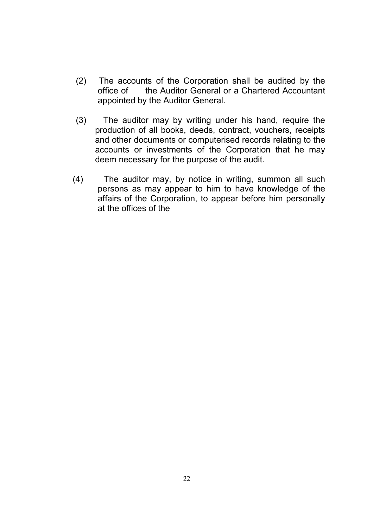- (2) The accounts of the Corporation shall be audited by the office of the Auditor General or a Chartered Accountant appointed by the Auditor General.
- (3) The auditor may by writing under his hand, require the production of all books, deeds, contract, vouchers, receipts and other documents or computerised records relating to the accounts or investments of the Corporation that he may deem necessary for the purpose of the audit.
- (4) The auditor may, by notice in writing, summon all such persons as may appear to him to have knowledge of the affairs of the Corporation, to appear before him personally at the offices of the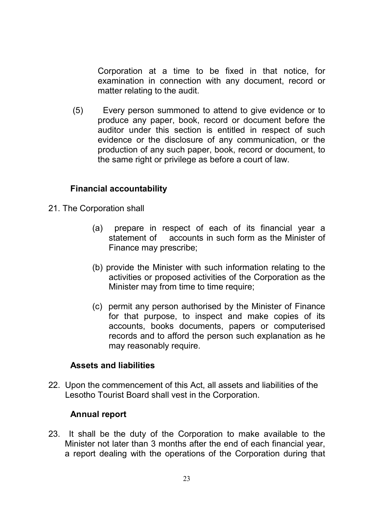Corporation at a time to be fixed in that notice, for examination in connection with any document, record or matter relating to the audit.

 (5) Every person summoned to attend to give evidence or to produce any paper, book, record or document before the auditor under this section is entitled in respect of such evidence or the disclosure of any communication, or the production of any such paper, book, record or document, to the same right or privilege as before a court of law.

#### Financial accountability

- 21. The Corporation shall
	- (a) prepare in respect of each of its financial year a statement of accounts in such form as the Minister of Finance may prescribe;
	- (b) provide the Minister with such information relating to the activities or proposed activities of the Corporation as the Minister may from time to time require;
	- (c) permit any person authorised by the Minister of Finance for that purpose, to inspect and make copies of its accounts, books documents, papers or computerised records and to afford the person such explanation as he may reasonably require.

#### Assets and liabilities

22. Upon the commencement of this Act, all assets and liabilities of the Lesotho Tourist Board shall vest in the Corporation.

#### Annual report

23. It shall be the duty of the Corporation to make available to the Minister not later than 3 months after the end of each financial year, a report dealing with the operations of the Corporation during that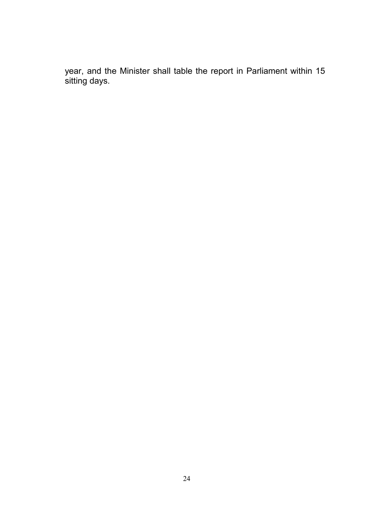year, and the Minister shall table the report in Parliament within 15 sitting days.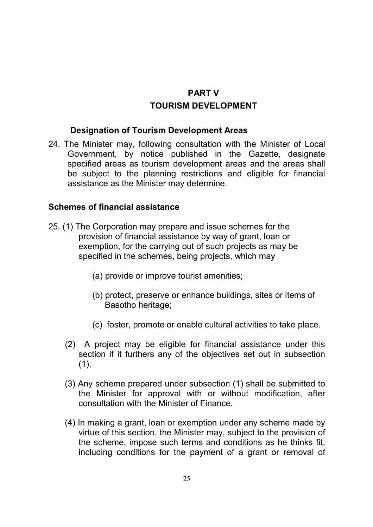# PART V TOURISM DEVELOPMENT

#### Designation of Tourism Development Areas

24. The Minister may, following consultation with the Minister of Local Government, by notice published in the Gazette, designate specified areas as tourism development areas and the areas shall be subject to the planning restrictions and eligible for financial assistance as the Minister may determine.

#### Schemes of financial assistance

- 25. (1) The Corporation may prepare and issue schemes for the provision of financial assistance by way of grant, loan or exemption, for the carrying out of such projects as may be specified in the schemes, being projects, which may
	- (a) provide or improve tourist amenities;
	- (b) protect, preserve or enhance buildings, sites or items of Basotho heritage;
	- (c) foster, promote or enable cultural activities to take place.
	- (2) A project may be eligible for financial assistance under this section if it furthers any of the objectives set out in subsection  $(1).$
	- (3) Any scheme prepared under subsection (1) shall be submitted to the Minister for approval with or without modification, after consultation with the Minister of Finance.
	- (4) In making a grant, loan or exemption under any scheme made by virtue of this section, the Minister may, subject to the provision of the scheme, impose such terms and conditions as he thinks fit, including conditions for the payment of a grant or removal of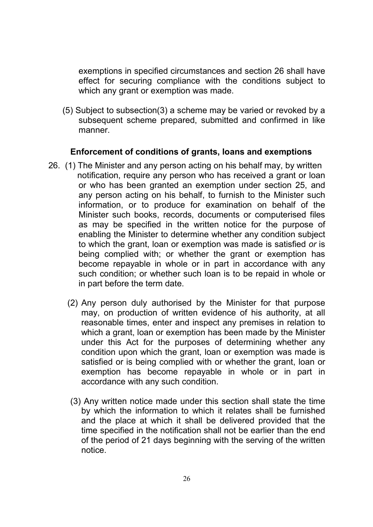exemptions in specified circumstances and section 26 shall have effect for securing compliance with the conditions subject to which any grant or exemption was made.

 (5) Subject to subsection(3) a scheme may be varied or revoked by a subsequent scheme prepared, submitted and confirmed in like manner.

#### Enforcement of conditions of grants, loans and exemptions

- 26. (1) The Minister and any person acting on his behalf may, by written notification, require any person who has received a grant or loan or who has been granted an exemption under section 25, and any person acting on his behalf, to furnish to the Minister such information, or to produce for examination on behalf of the Minister such books, records, documents or computerised files as may be specified in the written notice for the purpose of enabling the Minister to determine whether any condition subject to which the grant, loan or exemption was made is satisfied or is being complied with; or whether the grant or exemption has become repayable in whole or in part in accordance with any such condition; or whether such loan is to be repaid in whole or in part before the term date.
	- (2) Any person duly authorised by the Minister for that purpose may, on production of written evidence of his authority, at all reasonable times, enter and inspect any premises in relation to which a grant, loan or exemption has been made by the Minister under this Act for the purposes of determining whether any condition upon which the grant, loan or exemption was made is satisfied or is being complied with or whether the grant, loan or exemption has become repayable in whole or in part in accordance with any such condition.
	- (3) Any written notice made under this section shall state the time by which the information to which it relates shall be furnished and the place at which it shall be delivered provided that the time specified in the notification shall not be earlier than the end of the period of 21 days beginning with the serving of the written notice.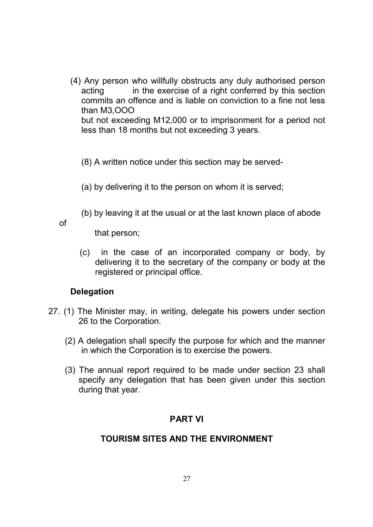- (4) Any person who willfully obstructs any duly authorised person acting in the exercise of a right conferred by this section commits an offence and is liable on conviction to a fine not less than M3,OOO but not exceeding M12,000 or to imprisonment for a period not less than 18 months but not exceeding 3 years.
	- (8) A written notice under this section may be served-
	- (a) by delivering it to the person on whom it is served;
	- (b) by leaving it at the usual or at the last known place of abode

of

that person;

 (c) in the case of an incorporated company or body, by delivering it to the secretary of the company or body at the registered or principal office.

#### **Delegation**

- 27. (1) The Minister may, in writing, delegate his powers under section 26 to the Corporation.
	- (2) A delegation shall specify the purpose for which and the manner in which the Corporation is to exercise the powers.
	- (3) The annual report required to be made under section 23 shall specify any delegation that has been given under this section during that year.

#### PART VI

#### TOURISM SITES AND THE ENVIRONMENT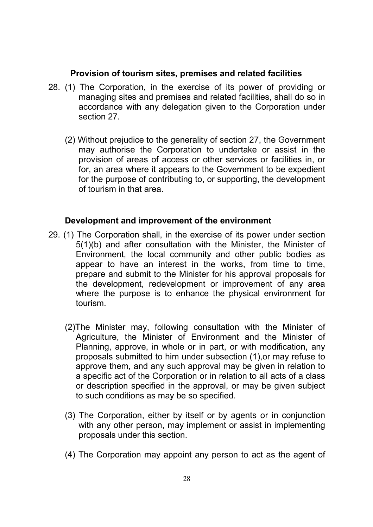#### Provision of tourism sites, premises and related facilities

- 28. (1) The Corporation, in the exercise of its power of providing or managing sites and premises and related facilities, shall do so in accordance with any delegation given to the Corporation under section 27.
	- (2) Without prejudice to the generality of section 27, the Government may authorise the Corporation to undertake or assist in the provision of areas of access or other services or facilities in, or for, an area where it appears to the Government to be expedient for the purpose of contributing to, or supporting, the development of tourism in that area.

#### Development and improvement of the environment

- 29. (1) The Corporation shall, in the exercise of its power under section 5(1)(b) and after consultation with the Minister, the Minister of Environment, the local community and other public bodies as appear to have an interest in the works, from time to time, prepare and submit to the Minister for his approval proposals for the development, redevelopment or improvement of any area where the purpose is to enhance the physical environment for tourism.
	- (2)The Minister may, following consultation with the Minister of Agriculture, the Minister of Environment and the Minister of Planning, approve, in whole or in part, or with modification, any proposals submitted to him under subsection (1),or may refuse to approve them, and any such approval may be given in relation to a specific act of the Corporation or in relation to all acts of a class or description specified in the approval, or may be given subject to such conditions as may be so specified.
	- (3) The Corporation, either by itself or by agents or in conjunction with any other person, may implement or assist in implementing proposals under this section.
	- (4) The Corporation may appoint any person to act as the agent of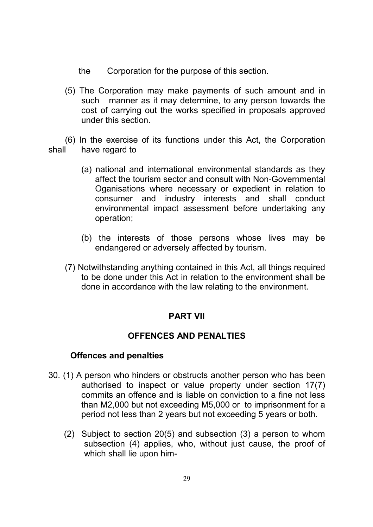- the Corporation for the purpose of this section.
- (5) The Corporation may make payments of such amount and in such manner as it may determine, to any person towards the cost of carrying out the works specified in proposals approved under this section.

 (6) In the exercise of its functions under this Act, the Corporation shall have regard to

- (a) national and international environmental standards as they affect the tourism sector and consult with Non-Governmental Oganisations where necessary or expedient in relation to consumer and industry interests and shall conduct environmental impact assessment before undertaking any operation;
- (b) the interests of those persons whose lives may be endangered or adversely affected by tourism.
- (7) Notwithstanding anything contained in this Act, all things required to be done under this Act in relation to the environment shall be done in accordance with the law relating to the environment.

#### PART VII

#### OFFENCES AND PENALTIES

#### Offences and penalties

- 30. (1) A person who hinders or obstructs another person who has been authorised to inspect or value property under section 17(7) commits an offence and is liable on conviction to a fine not less than M2,000 but not exceeding M5,000 or to imprisonment for a period not less than 2 years but not exceeding 5 years or both.
	- (2) Subject to section 20(5) and subsection (3) a person to whom subsection (4) applies, who, without just cause, the proof of which shall lie upon him-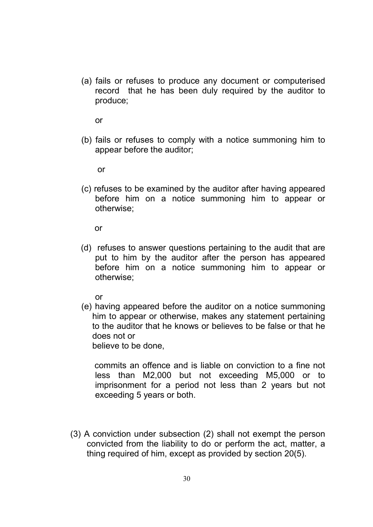(a) fails or refuses to produce any document or computerised record that he has been duly required by the auditor to produce;

or

(b) fails or refuses to comply with a notice summoning him to appear before the auditor;

or

(c) refuses to be examined by the auditor after having appeared before him on a notice summoning him to appear or otherwise;

or

 (d) refuses to answer questions pertaining to the audit that are put to him by the auditor after the person has appeared before him on a notice summoning him to appear or otherwise;

or

(e) having appeared before the auditor on a notice summoning him to appear or otherwise, makes any statement pertaining to the auditor that he knows or believes to be false or that he does not or

believe to be done,

 commits an offence and is liable on conviction to a fine not less than M2,000 but not exceeding M5,000 or to imprisonment for a period not less than 2 years but not exceeding 5 years or both.

(3) A conviction under subsection (2) shall not exempt the person convicted from the liability to do or perform the act, matter, a thing required of him, except as provided by section 20(5).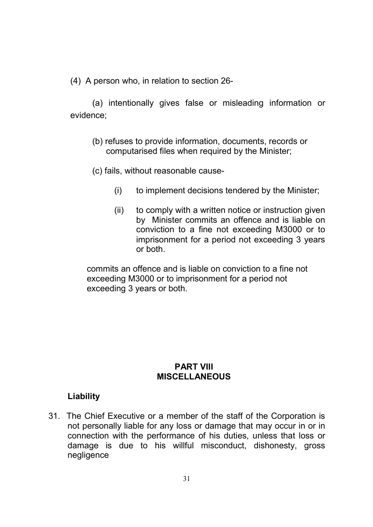(4) A person who, in relation to section 26-

(a) intentionally gives false or misleading information or evidence;

- (b) refuses to provide information, documents, records or computarised files when required by the Minister;
- (c) fails, without reasonable cause-
	- (i) to implement decisions tendered by the Minister;
	- (ii) to comply with a written notice or instruction given by Minister commits an offence and is liable on conviction to a fine not exceeding M3000 or to imprisonment for a period not exceeding 3 years or both.

commits an offence and is liable on conviction to a fine not exceeding M3000 or to imprisonment for a period not exceeding 3 years or both.

#### PART VIII **MISCELLANEOUS**

#### Liability

31. The Chief Executive or a member of the staff of the Corporation is not personally liable for any loss or damage that may occur in or in connection with the performance of his duties, unless that loss or damage is due to his willful misconduct, dishonesty, gross negligence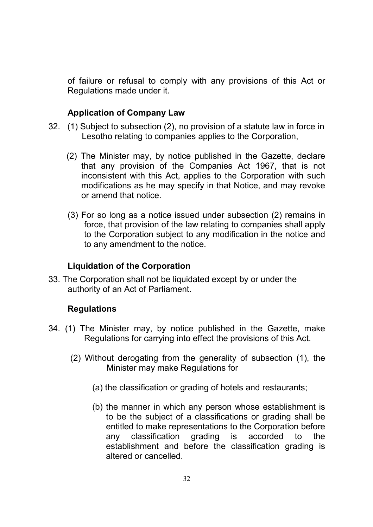of failure or refusal to comply with any provisions of this Act or Regulations made under it.

#### Application of Company Law

- 32. (1) Subject to subsection (2), no provision of a statute law in force in Lesotho relating to companies applies to the Corporation,
	- (2) The Minister may, by notice published in the Gazette, declare that any provision of the Companies Act 1967, that is not inconsistent with this Act, applies to the Corporation with such modifications as he may specify in that Notice, and may revoke or amend that notice.
	- (3) For so long as a notice issued under subsection (2) remains in force, that provision of the law relating to companies shall apply to the Corporation subject to any modification in the notice and to any amendment to the notice.

#### Liquidation of the Corporation

33. The Corporation shall not be liquidated except by or under the authority of an Act of Parliament.

#### **Regulations**

- 34. (1) The Minister may, by notice published in the Gazette, make Regulations for carrying into effect the provisions of this Act.
	- (2) Without derogating from the generality of subsection (1), the Minister may make Regulations for
		- (a) the classification or grading of hotels and restaurants;
		- (b) the manner in which any person whose establishment is to be the subject of a classifications or grading shall be entitled to make representations to the Corporation before any classification grading is accorded to the establishment and before the classification grading is altered or cancelled.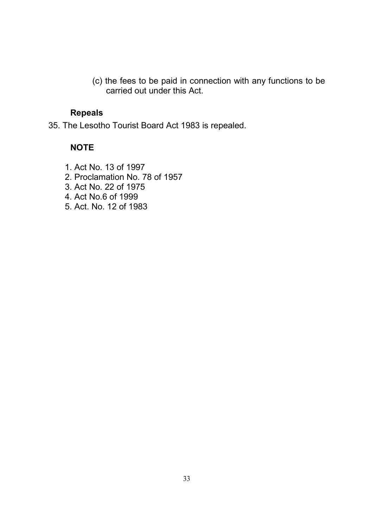(c) the fees to be paid in connection with any functions to be carried out under this Act.

#### Repeals

35. The Lesotho Tourist Board Act 1983 is repealed.

#### **NOTE**

1. Act No. 13 of 1997 2. Proclamation No. 78 of 1957 3. Act No. 22 of 1975 4. Act No.6 of 1999 5. Act. No. 12 of 1983